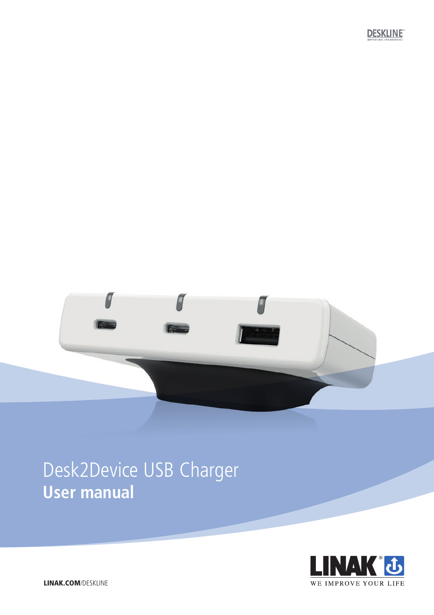



# Desk2Device USB Charger **User manual**

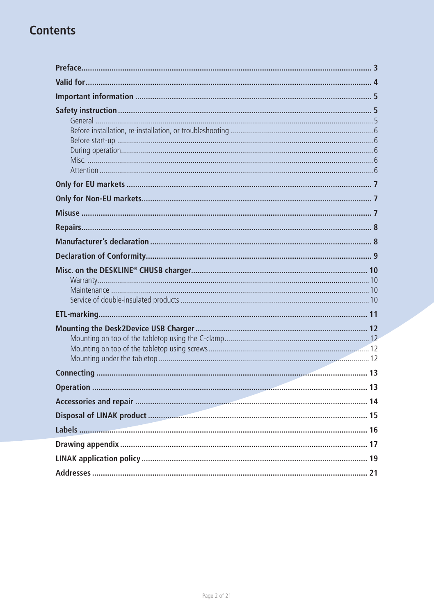## **Contents**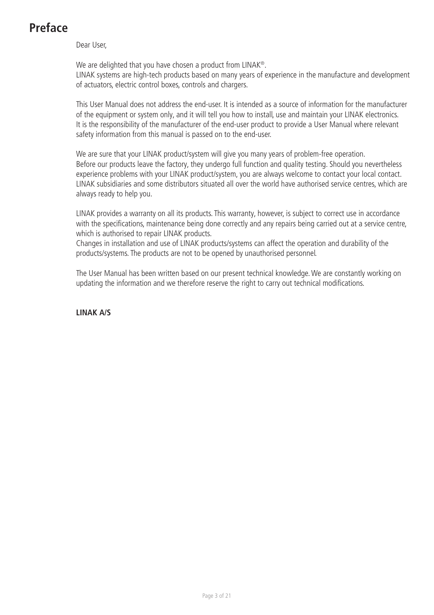## <span id="page-2-0"></span>**Preface**

Dear User,

We are delighted that you have chosen a product from LINAK®. LINAK systems are high-tech products based on many years of experience in the manufacture and development of actuators, electric control boxes, controls and chargers.

This User Manual does not address the end-user. It is intended as a source of information for the manufacturer of the equipment or system only, and it will tell you how to install, use and maintain your LINAK electronics. It is the responsibility of the manufacturer of the end-user product to provide a User Manual where relevant safety information from this manual is passed on to the end-user.

We are sure that your LINAK product/system will give you many years of problem-free operation. Before our products leave the factory, they undergo full function and quality testing. Should you nevertheless experience problems with your LINAK product/system, you are always welcome to contact your local contact. LINAK subsidiaries and some distributors situated all over the world have authorised service centres, which are always ready to help you.

LINAK provides a warranty on all its products. This warranty, however, is subject to correct use in accordance with the specifications, maintenance being done correctly and any repairs being carried out at a service centre, which is authorised to repair LINAK products.

Changes in installation and use of LINAK products/systems can affect the operation and durability of the products/systems. The products are not to be opened by unauthorised personnel.

The User Manual has been written based on our present technical knowledge. We are constantly working on updating the information and we therefore reserve the right to carry out technical modifications.

**LINAK A/S**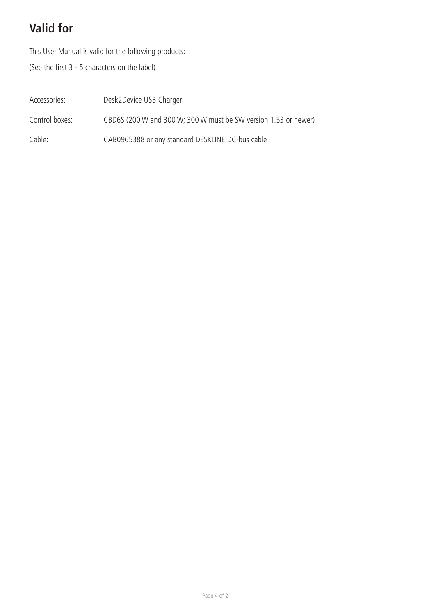## <span id="page-3-0"></span>**Valid for**

This User Manual is valid for the following products:

(See the first 3 - 5 characters on the label)

| Accessories:   | Desk2Device USB Charger                                         |
|----------------|-----------------------------------------------------------------|
| Control boxes: | CBD6S (200 W and 300 W: 300 W must be SW version 1.53 or newer) |
| Cable:         | CAB0965388 or any standard DESKLINE DC-bus cable                |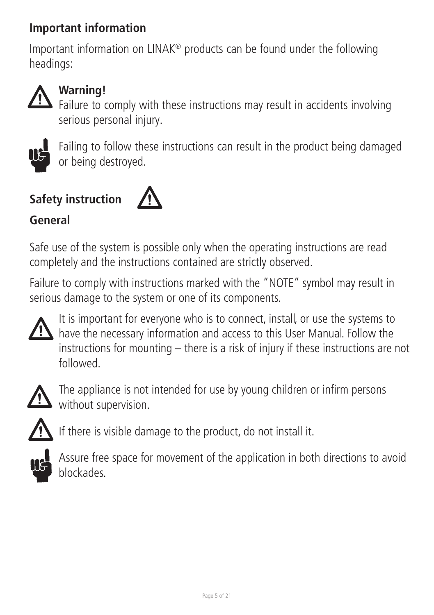## <span id="page-4-0"></span>**Important information**

Important information on LINAK® products can be found under the following headings:



## **Warning!**

Failure to comply with these instructions may result in accidents involving serious personal injury.



Failing to follow these instructions can result in the product being damaged or being destroyed.

# **Safety instruction**



## **General**

Safe use of the system is possible only when the operating instructions are read completely and the instructions contained are strictly observed.

Failure to comply with instructions marked with the "NOTE" symbol may result in serious damage to the system or one of its components.



It is important for everyone who is to connect, install, or use the systems to have the necessary information and access to this User Manual. Follow the instructions for mounting – there is a risk of injury if these instructions are not followed.



The appliance is not intended for use by young children or infirm persons without supervision.



If there is visible damage to the product, do not install it.



Assure free space for movement of the application in both directions to avoid blockades.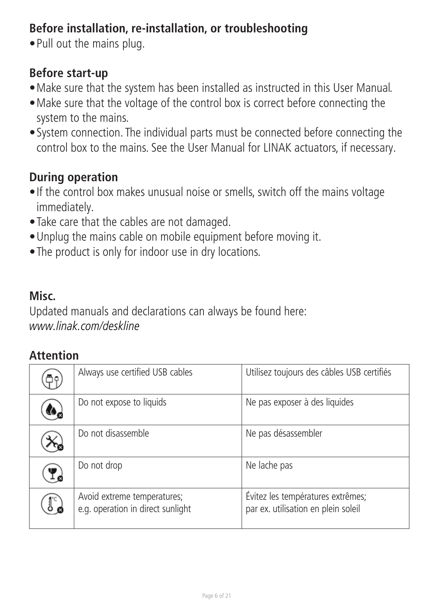## <span id="page-5-0"></span>**Before installation, re-installation, or troubleshooting**

• Pull out the mains plug.

## **Before start-up**

- Make sure that the system has been installed as instructed in this User Manual.
- Make sure that the voltage of the control box is correct before connecting the system to the mains.
- System connection. The individual parts must be connected before connecting the control box to the mains. See the User Manual for LINAK actuators, if necessary.

## **During operation**

- If the control box makes unusual noise or smells, switch off the mains voltage immediately.
- Take care that the cables are not damaged.
- Unplug the mains cable on mobile equipment before moving it.
- The product is only for indoor use in dry locations.

## **Misc.**

Updated manuals and declarations can always be found here: [www.linak.com/deskline](https://www.linak.com/user-manuals/deskline/)

## **Attention**

| Always use certified USB cables                                  | Utilisez toujours des câbles USB certifiés                               |
|------------------------------------------------------------------|--------------------------------------------------------------------------|
| Do not expose to liquids                                         | Ne pas exposer à des liquides                                            |
| Do not disassemble                                               | Ne pas désassembler                                                      |
| Do not drop                                                      | Ne lache pas                                                             |
| Avoid extreme temperatures;<br>e.g. operation in direct sunlight | Évitez les températures extrêmes;<br>par ex. utilisation en plein soleil |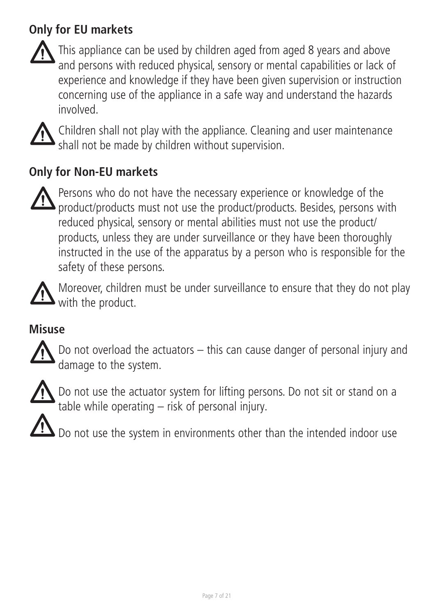## <span id="page-6-0"></span>**Only for EU markets**



This appliance can be used by children aged from aged 8 years and above and persons with reduced physical, sensory or mental capabilities or lack of experience and knowledge if they have been given supervision or instruction concerning use of the appliance in a safe way and understand the hazards involved.



Children shall not play with the appliance. Cleaning and user maintenance shall not be made by children without supervision.

## **Only for Non-EU markets**



Persons who do not have the necessary experience or knowledge of the product/products must not use the product/products. Besides, persons with reduced physical, sensory or mental abilities must not use the product/ products, unless they are under surveillance or they have been thoroughly instructed in the use of the apparatus by a person who is responsible for the safety of these persons.



Moreover, children must be under surveillance to ensure that they do not play with the product.

## **Misuse**



Do not overload the actuators – this can cause danger of personal injury and damage to the system.



Do not use the actuator system for lifting persons. Do not sit or stand on a table while operating – risk of personal injury.

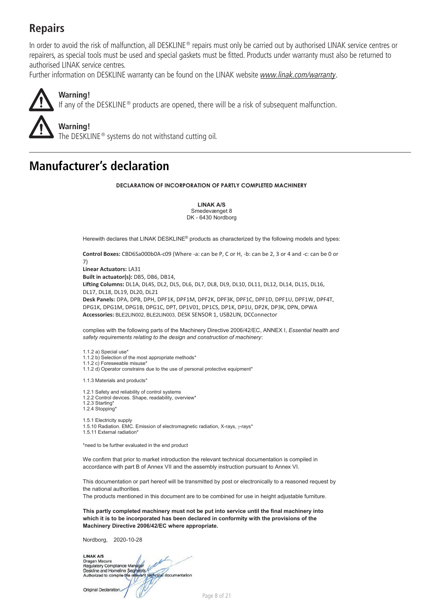## <span id="page-7-0"></span>**Repairs**

In order to avoid the risk of malfunction, all DESKLINE® repairs must only be carried out by authorised LINAK service centres or repairers, as special tools must be used and special gaskets must be fitted. Products under warranty must also be returned to authorised LINAK service centres.

Further information on DESKLINE warranty can be found on the LINAK website [www.linak.com/warranty](http://www.linak.com/warranty).



**Warning!** The DESKLINE® systems do not withstand cutting oil.

## **Manufacturer's declaration**

**DECLARATION OF INCORPORATION OF PARTLY COMPLETED MACHINERY**

**LINAK A/S** Smedevænget 8 DK - 6430 Nordborg

Herewith declares that LINAK DESKLINE<sup>®</sup> products as characterized by the following models and types:

**Control Boxes:** CBD6Sa000b0A-c09 (Where -a: can be P, C or H, -b: can be 2, 3 or 4 and -c: can be 0 or 7) **Linear Actuators:** LA31 **Built in actuator(s):** DB5, DB6, DB14, **Lifting Columns:** DL1A, DL4S, DL2, DL5, DL6, DL7, DL8, DL9, DL10, DL11, DL12, DL14, DL15, DL16, DL17, DL18, DL19, DL20, DL21 **Desk Panels:** DPA, DPB, DPH, DPF1K, DPF1M, DPF2K, DPF3K, DPF1C, DPF1D, DPF1U, DPF1W, DPF4T, DPG1K, DPG1M, DPG1B, DPG1C, DPT, DP1V01, DP1CS, DP1K, DP1U, DP2K, DP3K, DPN, DPWA **Accessories:** BLE2LIN002, BLE2LIN003, DESK SENSOR 1, USB2LIN, DCConnector

complies with the following parts of the Machinery Directive 2006/42/EC, ANNEX I, *Essential health and safety requirements relating to the design and construction of machinery*:

1.1.2 a) Special use\* 1.1.2 b) Selection of the most appropriate methods\* 1.1.2 c) Geleading alle misuse 1.1.2 d) Operator constrains due to the use of personal protective equipment\*

1.1.3 Materials and products\*

- 1.2.1 Safety and reliability of control systems
- 1.2.2 Control devices. Shape, readability, overview\*
- 1.2.3 Starting\* 1.2.4 Stopping\*
- 1.5.1 Electricity supply
- 1.5.10 Radiation. EMC. Emission of electromagnetic radiation, X-rays, y-rays\*
- 1.5.11 External radiation\*

\*need to be further evaluated in the end product

We confirm that prior to market introduction the relevant technical documentation is compiled in accordance with part B of Annex VII and the assembly instruction pursuant to Annex VI.

This documentation or part hereof will be transmitted by post or electronically to a reasoned request by the national authorities.

The products mentioned in this document are to be combined for use in height adjustable furniture.

**This partly completed machinery must not be put into service until the final machinery into which it is to be incorporated has been declared in conformity with the provisions of the Machinery Directive 2006/42/EC where appropriate.**

Nordborg, 2020-10-28

LINAK A/S LINAK AVS<br>Dragan Macura<br>Regulatory Compliance Manager<br>Deskline and Homeline Securities (Compliant documentation) W N

Original Declaration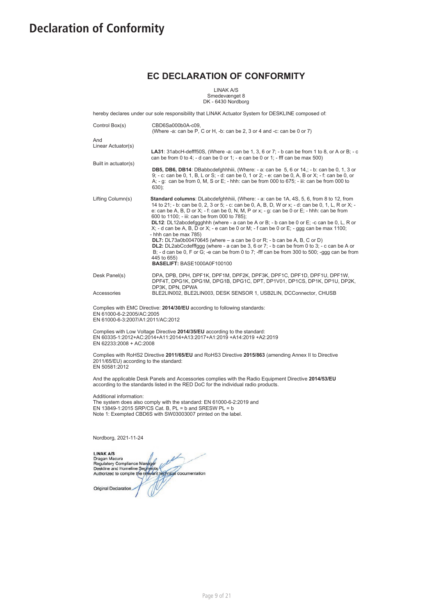### <span id="page-8-0"></span>**Declaration of Conformity**

### **EC DECLARATION OF CONFORMITY**

LINAK A/S Smedevænget 8 DK - 6430 Nordborg

| hereby declares under our sole responsibility that LINAK Actuator System for DESKLINE composed of:                                          |                                                                                                                                                                                                                                                                                                                                                                                                                                                                                                                                                                                                                                                                                                                                                                                                                                                                                                             |  |  |  |
|---------------------------------------------------------------------------------------------------------------------------------------------|-------------------------------------------------------------------------------------------------------------------------------------------------------------------------------------------------------------------------------------------------------------------------------------------------------------------------------------------------------------------------------------------------------------------------------------------------------------------------------------------------------------------------------------------------------------------------------------------------------------------------------------------------------------------------------------------------------------------------------------------------------------------------------------------------------------------------------------------------------------------------------------------------------------|--|--|--|
| Control Box(s)                                                                                                                              | CBD6Sa000b0A-c09,<br>(Where -a: can be P, C or H, -b: can be 2, 3 or 4 and -c: can be 0 or 7)                                                                                                                                                                                                                                                                                                                                                                                                                                                                                                                                                                                                                                                                                                                                                                                                               |  |  |  |
| And<br>Linear Actuator(s)<br>Built in actuator(s)                                                                                           | LA31: 31abcH-defff50S, (Where -a: can be 1, 3, 6 or 7; - b can be from 1 to 8, or A or B; - c<br>can be from 0 to 4; - d can be 0 or 1; - e can be 0 or 1; - fff can be max 500)<br>DB5, DB6, DB14: DBabbcdefghhhiii, (Where: - a: can be 5, 6 or 14,; - b: can be 0, 1, 3 or<br>9: - c: can be 0, 1, B, L or S: - d: can be 0, 1 or 2: - e: can be 0, A, B or X: - f: can be 0, or<br>A; - g: can be from 0, M, S or E; - hhh: can be from 000 to 675; - iii: can be from 000 to<br>$630$ :                                                                                                                                                                                                                                                                                                                                                                                                                |  |  |  |
| Lifting Column(s)                                                                                                                           | Standard columns: DLabcdefghhhiii, (Where: - a: can be 1A, 4S, 5, 6, from 8 to 12, from<br>14 to 21: - b: can be 0, 2, 3 or 5: - c: can be 0, A, B, D, W or x: - d: can be 0, 1, L, R or X: -<br>e: can be A, B, D or X; - f: can be 0, N, M, P or x; - g: can be 0 or E; - hhh: can be from<br>600 to 1100; - iii: can be from 000 to 785);<br>DL12: DL12abcdefggghhh (where - a can be A or B; - b can be 0 or E; -c can be 0, L, R or<br>$X$ ; - d can be A, B, D or X; - e can be 0 or M; - f can be 0 or E; - ggg can be max 1100;<br>- hhh can be max 785)<br>DL7: $DL73a0b00470645$ (where $-$ a can be 0 or R: $-$ b can be A, B, C or D)<br><b>DL2:</b> DL2abCcdefffggg (where - a can be 3, 6 or 7; - b can be from 0 to 3; - c can be A or<br>B: - d can be 0. F or G: -e can be from 0 to 7: -fff can be from 300 to 500: -ggg can be from<br>445 to 655)<br><b>BASELIFT: BASE1000A0F100100</b> |  |  |  |
| Desk Panel(s)                                                                                                                               | DPA, DPB, DPH, DPF1K, DPF1M, DPF2K, DPF3K, DPF1C, DPF1D, DPF1U, DPF1W,<br>DPF4T, DPG1K, DPG1M, DPG1B, DPG1C, DPT, DP1V01, DP1CS, DP1K, DP1U, DP2K,<br>DP3K, DPN, DPWA                                                                                                                                                                                                                                                                                                                                                                                                                                                                                                                                                                                                                                                                                                                                       |  |  |  |
| Accessories                                                                                                                                 | BLE2LIN002, BLE2LIN003, DESK SENSOR 1, USB2LIN, DCConnector, CHUSB                                                                                                                                                                                                                                                                                                                                                                                                                                                                                                                                                                                                                                                                                                                                                                                                                                          |  |  |  |
| Complies with EMC Directive: 2014/30/EU according to following standards:<br>EN 61000-6-2:2005/AC:2005<br>EN 61000-6-3:2007/A1:2011/AC:2012 |                                                                                                                                                                                                                                                                                                                                                                                                                                                                                                                                                                                                                                                                                                                                                                                                                                                                                                             |  |  |  |

Complies with Low Voltage Directive **2014/35/EU** according to the standard: EN 60335-1:2012+AC:2014+A11:2014+A13:2017+A1:2019 +A14:2019 +A2:2019 EN 62233:2008 + AC:2008

Complies with RoHS2 Directive **2011/65/EU** and RoHS3 Directive **2015/863** (amending Annex II to Directive 2011/65/EU) according to the standard: EN 50581:2012

And the applicable Desk Panels and Accessories complies with the Radio Equipment Directive **2014/53/EU** according to the standards listed in the RED DoC for the individual radio products.

Additional information: The system does also comply with the standard: EN 61000-6-2:2019 and EN 13849-1:2015 SRP/CS Cat. B, PL = b and SRESW PL = b Note 1: Exempted CBD6S with SW03003007 printed on the label.

Nordborg, 2021-11-24

LINAK A/S<br>Pragan Macura<br>Deskline and Homeline Searners<br>Deskline and Homeline Searners<br>Authorized to compile the relievant performed documentation Original Declaration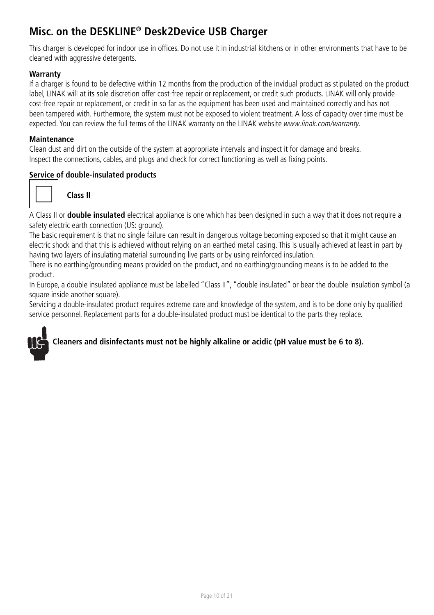## <span id="page-9-0"></span>**Misc. on the DESKLINE® Desk2Device USB Charger**

This charger is developed for indoor use in offices. Do not use it in industrial kitchens or in other environments that have to be cleaned with aggressive detergents.

### **Warranty**

If a charger is found to be defective within 12 months from the production of the invidual product as stipulated on the product label, LINAK will at its sole discretion offer cost-free repair or replacement, or credit such products. LINAK will only provide cost-free repair or replacement, or credit in so far as the equipment has been used and maintained correctly and has not been tampered with. Furthermore, the system must not be exposed to violent treatment. A loss of capacity over time must be expected. You can review the full terms of the LINAK warranty on the LINAK website www.linak.com/warranty.

### **Maintenance**

Clean dust and dirt on the outside of the system at appropriate intervals and inspect it for damage and breaks. Inspect the connections, cables, and plugs and check for correct functioning as well as fixing points.

### **Service of double-insulated products**



 **Class II** 

A Class II or **double insulated** electrical appliance is one which has been designed in such a way that it does not require a safety electric earth connection (US: ground).

The basic requirement is that no single failure can result in dangerous voltage becoming exposed so that it might cause an electric shock and that this is achieved without relying on an earthed metal casing. This is usually achieved at least in part by having two layers of insulating material surrounding live parts or by using reinforced insulation.

There is no earthing/grounding means provided on the product, and no earthing/grounding means is to be added to the product.

In Europe, a double insulated appliance must be labelled "Class II", "double insulated" or bear the double insulation symbol (a square inside another square).

Servicing a double-insulated product requires extreme care and knowledge of the system, and is to be done only by qualified service personnel. Replacement parts for a double-insulated product must be identical to the parts they replace.

### **Cleaners and disinfectants must not be highly alkaline or acidic (pH value must be 6 to 8).**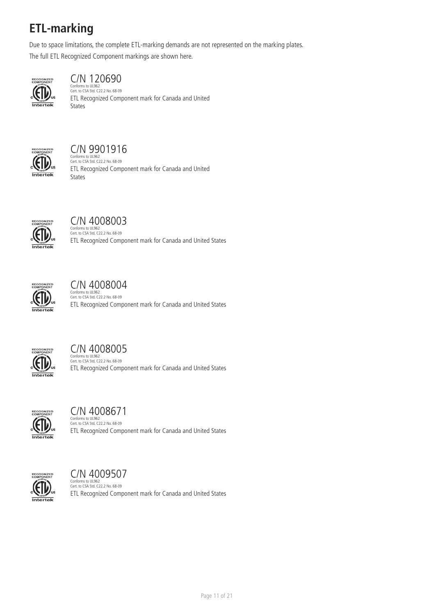## <span id="page-10-0"></span>**ETL-marking**

Due to space limitations, the complete ETL-marking demands are not represented on the marking plates.

The full ETL Recognized Component markings are shown here.



### C/N 120690

Conforms to UL962 Cert. to CSA Std. C22.2 No. 68-09 ETL Recognized Component mark for Canada and United States



## C/N 9901916

Conforms to UL962 Cert. to CSA Std. C22.2 No. 68-09 ETL Recognized Component mark for Canada and United States



## C/N 4008003

Conforms to UL962 Cert. to CSA Std. C22.2 No. 68-09 ETL Recognized Component mark for Canada and United States



## C/N 4008004

Conforms to UL962 Cert. to CSA Std. C22.2 No. 68-09 ETL Recognized Component mark for Canada and United States



### C/N 4008005

Conforms to UL962 Cert. to CSA Std. C22.2 No. 68-09 ETL Recognized Component mark for Canada and United States



### C/N 4008671

Conforms to UL962 Cert. to CSA Std. C22.2 No. 68-09 ETL Recognized Component mark for Canada and United States



## C/N 4009507

Conforms to UL962 Cert. to CSA Std. C22.2 No. 68-09 ETL Recognized Component mark for Canada and United States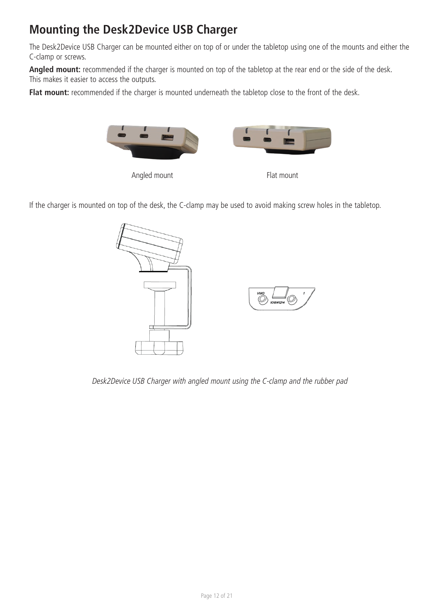## <span id="page-11-0"></span>**Mounting the Desk2Device USB Charger**

The Desk2Device USB Charger can be mounted either on top of or under the tabletop using one of the mounts and either the C-clamp or screws.

**Angled mount:** recommended if the charger is mounted on top of the tabletop at the rear end or the side of the desk. This makes it easier to access the outputs.

Flat mount: recommended if the charger is mounted underneath the tabletop close to the front of the desk.







If the charger is mounted on top of the desk, the C-clamp may be used to avoid making screw holes in the tabletop.



Desk2Device USB Charger with angled mount using the C-clamp and the rubber pad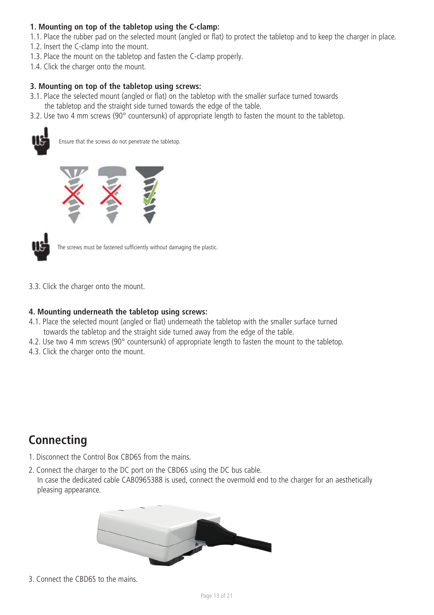### <span id="page-12-0"></span>**1. Mounting on top of the tabletop using the C-clamp:**

1.1. Place the rubber pad on the selected mount (angled or flat) to protect the tabletop and to keep the charger in place.

- 1.2. Insert the C-clamp into the mount.
- 1.3. Place the mount on the tabletop and fasten the C-clamp properly.
- 1.4. Click the charger onto the mount.

### **3. Mounting on top of the tabletop using screws:**

- 3.1. Place the selected mount (angled or flat) on the tabletop with the smaller surface turned towards
- the tabletop and the straight side turned towards the edge of the table.
- 3.2. Use two 4 mm screws (90° countersunk) of appropriate length to fasten the mount to the tabletop.



Ensure that the screws do not penetrate the tabletop.





The screws must be fastened sufficiently without damaging the plastic.

3.3. Click the charger onto the mount.

### **4. Mounting underneath the tabletop using screws:**

- 4.1. Place the selected mount (angled or flat) underneath the tabletop with the smaller surface turned towards the tabletop and the straight side turned away from the edge of the table.
- 4.2. Use two 4 mm screws (90° countersunk) of appropriate length to fasten the mount to the tabletop.
- 4.3. Click the charger onto the mount.

## **Connecting**

- 1. Disconnect the Control Box CBD6S from the mains.
- 2. Connect the charger to the DC port on the CBD6S using the DC bus cable. In case the dedicated cable CAB0965388 is used, connect the overmold end to the charger for an aesthetically pleasing appearance.



3. Connect the CBD6S to the mains.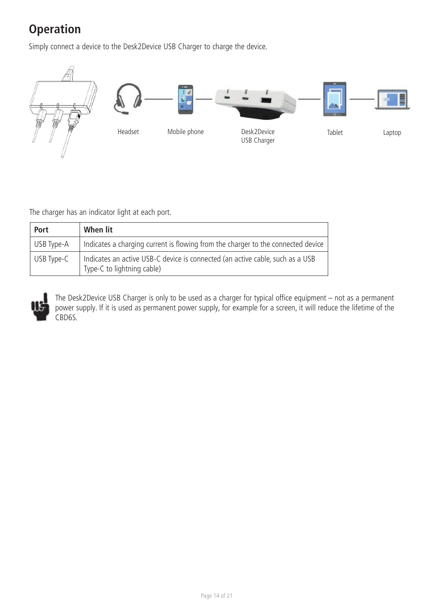## **Operation**

Simply connect a device to the Desk2Device USB Charger to charge the device.



The charger has an indicator light at each port.

| Port       | When lit                                                                                                    |
|------------|-------------------------------------------------------------------------------------------------------------|
| USB Type-A | Indicates a charging current is flowing from the charger to the connected device                            |
| USB Type-C | Indicates an active USB-C device is connected (an active cable, such as a USB<br>Type-C to lightning cable) |



The Desk2Device USB Charger is only to be used as a charger for typical office equipment – not as a permanent power supply. If it is used as permanent power supply, for example for a screen, it will reduce the lifetime of the CBD6S.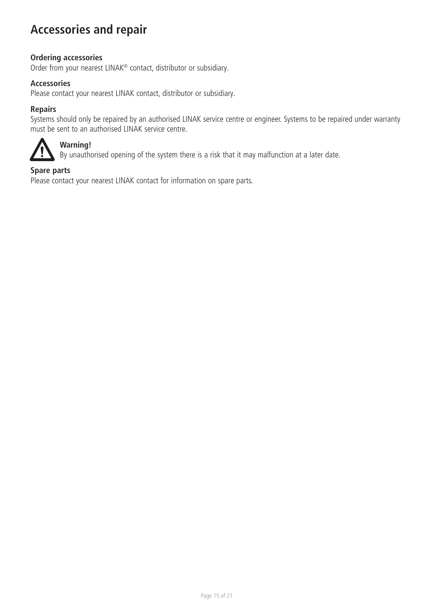## <span id="page-14-0"></span>**Accessories and repair**

### **Ordering accessories**

Order from your nearest LINAK® contact, distributor or subsidiary.

### **Accessories**

Please contact your nearest LINAK contact, distributor or subsidiary.

### **Repairs**

Systems should only be repaired by an authorised LINAK service centre or engineer. Systems to be repaired under warranty must be sent to an authorised LINAK service centre.



### **Warning!**

By unauthorised opening of the system there is a risk that it may malfunction at a later date.

### **Spare parts**

Please contact your nearest LINAK contact for information on spare parts.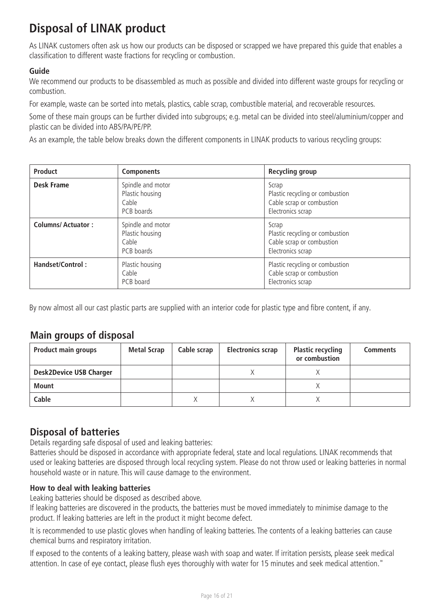## <span id="page-15-0"></span>**Disposal of LINAK product**

As LINAK customers often ask us how our products can be disposed or scrapped we have prepared this guide that enables a classification to different waste fractions for recycling or combustion.

### **Guide**

We recommend our products to be disassembled as much as possible and divided into different waste groups for recycling or combustion.

For example, waste can be sorted into metals, plastics, cable scrap, combustible material, and recoverable resources.

Some of these main groups can be further divided into subgroups; e.g. metal can be divided into steel/aluminium/copper and plastic can be divided into ABS/PA/PE/PP.

As an example, the table below breaks down the different components in LINAK products to various recycling groups:

| Product                  | <b>Components</b>                                           | Recycling group                                                                            |
|--------------------------|-------------------------------------------------------------|--------------------------------------------------------------------------------------------|
| Desk Frame               | Spindle and motor<br>Plastic housing<br>Cable<br>PCB boards | Scrap<br>Plastic recycling or combustion<br>Cable scrap or combustion<br>Electronics scrap |
| <b>Columns/Actuator:</b> | Spindle and motor<br>Plastic housing<br>Cable<br>PCB boards | Scrap<br>Plastic recycling or combustion<br>Cable scrap or combustion<br>Electronics scrap |
| Handset/Control:         | Plastic housing<br>Cable<br>PCB board                       | Plastic recycling or combustion<br>Cable scrap or combustion<br>Electronics scrap          |

By now almost all our cast plastic parts are supplied with an interior code for plastic type and fibre content, if any.

### **Main groups of disposal**

| <b>Product main groups</b>     | <b>Metal Scrap</b> | Cable scrap | <b>Electronics scrap</b> | <b>Plastic recycling</b><br>or combustion | <b>Comments</b> |
|--------------------------------|--------------------|-------------|--------------------------|-------------------------------------------|-----------------|
| <b>Desk2Device USB Charger</b> |                    |             |                          |                                           |                 |
| <b>Mount</b>                   |                    |             |                          |                                           |                 |
| Cable                          |                    |             |                          |                                           |                 |

### **Disposal of batteries**

Details regarding safe disposal of used and leaking batteries:

Batteries should be disposed in accordance with appropriate federal, state and local regulations. LINAK recommends that used or leaking batteries are disposed through local recycling system. Please do not throw used or leaking batteries in normal household waste or in nature. This will cause damage to the environment.

### **How to deal with leaking batteries**

Leaking batteries should be disposed as described above.

If leaking batteries are discovered in the products, the batteries must be moved immediately to minimise damage to the product. If leaking batteries are left in the product it might become defect.

It is recommended to use plastic gloves when handling of leaking batteries. The contents of a leaking batteries can cause chemical burns and respiratory irritation.

If exposed to the contents of a leaking battery, please wash with soap and water. If irritation persists, please seek medical attention. In case of eye contact, please flush eyes thoroughly with water for 15 minutes and seek medical attention."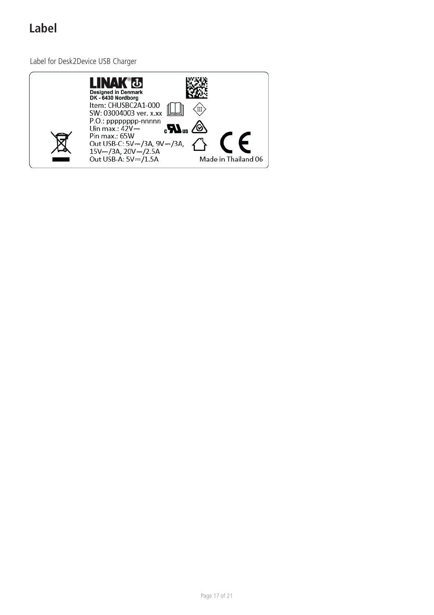## <span id="page-16-0"></span>**Label**

Label for Desk2Device USB Charger

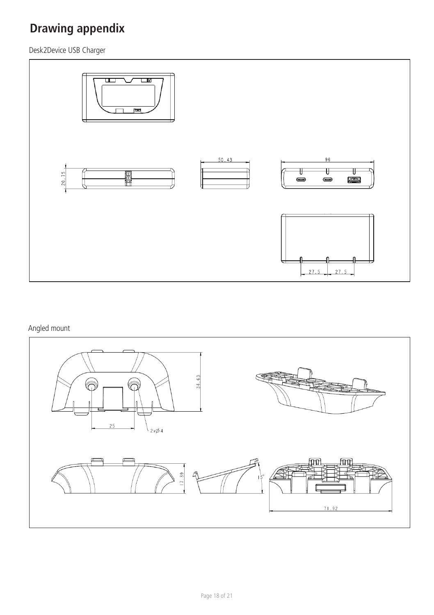## <span id="page-17-0"></span>**Drawing appendix**

Desk2Device USB Charger



### Angled mount

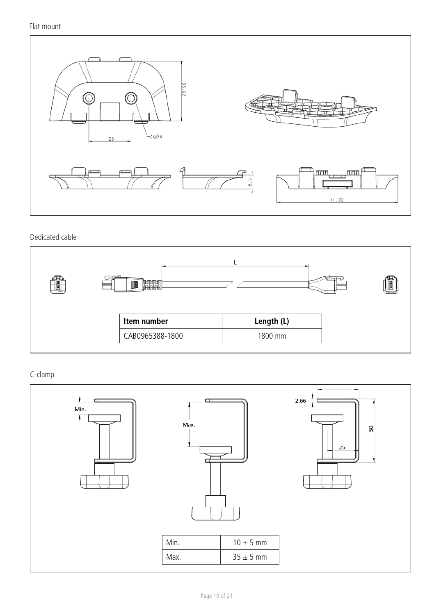Flat mount



Dedicated cable



C-clamp

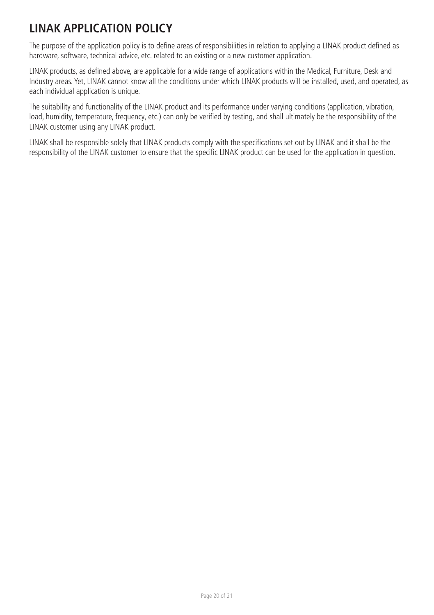## <span id="page-19-0"></span>**LINAK APPLICATION POLICY**

The purpose of the application policy is to define areas of responsibilities in relation to applying a LINAK product defined as hardware, software, technical advice, etc. related to an existing or a new customer application.

LINAK products, as defined above, are applicable for a wide range of applications within the Medical, Furniture, Desk and Industry areas. Yet, LINAK cannot know all the conditions under which LINAK products will be installed, used, and operated, as each individual application is unique.

The suitability and functionality of the LINAK product and its performance under varying conditions (application, vibration, load, humidity, temperature, frequency, etc.) can only be verified by testing, and shall ultimately be the responsibility of the LINAK customer using any LINAK product.

LINAK shall be responsible solely that LINAK products comply with the specifications set out by LINAK and it shall be the responsibility of the LINAK customer to ensure that the specific LINAK product can be used for the application in question.